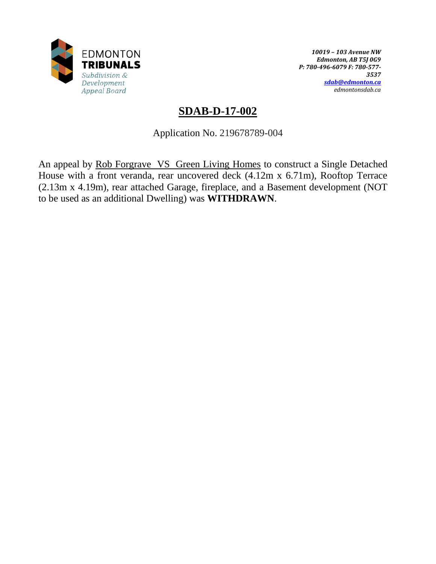

*10019 – 103 Avenue NW Edmonton, AB T5J 0G9 P: 780-496-6079 F: 780-577- 3537 [sdab@edmonton.ca](mailto:sdab@edmonton.ca) edmontonsdab.ca*

# **SDAB-D-17-002**

Application No. 219678789-004

An appeal by Rob Forgrave VS Green Living Homes to construct a Single Detached House with a front veranda, rear uncovered deck (4.12m x 6.71m), Rooftop Terrace (2.13m x 4.19m), rear attached Garage, fireplace, and a Basement development (NOT to be used as an additional Dwelling) was **WITHDRAWN**.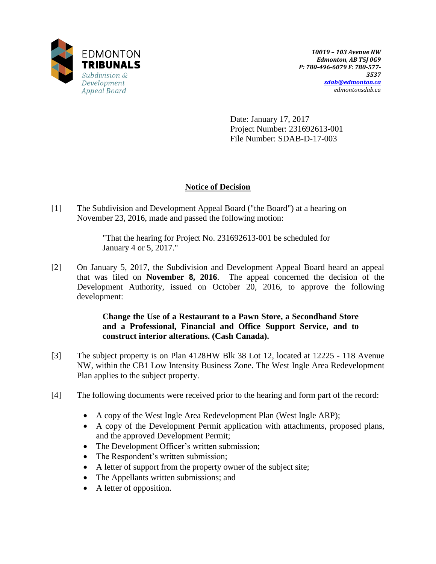

Date: January 17, 2017 Project Number: 231692613-001 File Number: SDAB-D-17-003

# **Notice of Decision**

[1] The Subdivision and Development Appeal Board ("the Board") at a hearing on November 23, 2016, made and passed the following motion:

> "That the hearing for Project No. 231692613-001 be scheduled for January 4 or 5, 2017."

[2] On January 5, 2017, the Subdivision and Development Appeal Board heard an appeal that was filed on **November 8, 2016**. The appeal concerned the decision of the Development Authority, issued on October 20, 2016, to approve the following development:

> **Change the Use of a Restaurant to a Pawn Store, a Secondhand Store and a Professional, Financial and Office Support Service, and to construct interior alterations. (Cash Canada).**

- [3] The subject property is on Plan 4128HW Blk 38 Lot 12, located at 12225 118 Avenue NW, within the CB1 Low Intensity Business Zone. The West Ingle Area Redevelopment Plan applies to the subject property.
- [4] The following documents were received prior to the hearing and form part of the record:
	- A copy of the West Ingle Area Redevelopment Plan (West Ingle ARP);
	- A copy of the Development Permit application with attachments, proposed plans, and the approved Development Permit;
	- The Development Officer's written submission;
	- The Respondent's written submission;
	- A letter of support from the property owner of the subject site;
	- The Appellants written submissions; and
	- A letter of opposition.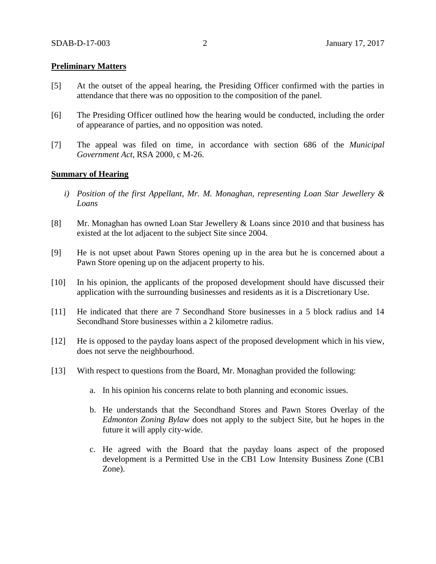### **Preliminary Matters**

- [5] At the outset of the appeal hearing, the Presiding Officer confirmed with the parties in attendance that there was no opposition to the composition of the panel.
- [6] The Presiding Officer outlined how the hearing would be conducted, including the order of appearance of parties, and no opposition was noted.
- [7] The appeal was filed on time, in accordance with section 686 of the *Municipal Government Act*, RSA 2000, c M-26.

#### **Summary of Hearing**

- *i) Position of the first Appellant, Mr. M. Monaghan, representing Loan Star Jewellery & Loans*
- [8] Mr. Monaghan has owned Loan Star Jewellery & Loans since 2010 and that business has existed at the lot adjacent to the subject Site since 2004.
- [9] He is not upset about Pawn Stores opening up in the area but he is concerned about a Pawn Store opening up on the adjacent property to his.
- [10] In his opinion, the applicants of the proposed development should have discussed their application with the surrounding businesses and residents as it is a Discretionary Use.
- [11] He indicated that there are 7 Secondhand Store businesses in a 5 block radius and 14 Secondhand Store businesses within a 2 kilometre radius.
- [12] He is opposed to the payday loans aspect of the proposed development which in his view, does not serve the neighbourhood.
- [13] With respect to questions from the Board, Mr. Monaghan provided the following:
	- a. In his opinion his concerns relate to both planning and economic issues.
	- b. He understands that the Secondhand Stores and Pawn Stores Overlay of the *Edmonton Zoning Bylaw* does not apply to the subject Site, but he hopes in the future it will apply city-wide.
	- c. He agreed with the Board that the payday loans aspect of the proposed development is a Permitted Use in the CB1 Low Intensity Business Zone (CB1 Zone).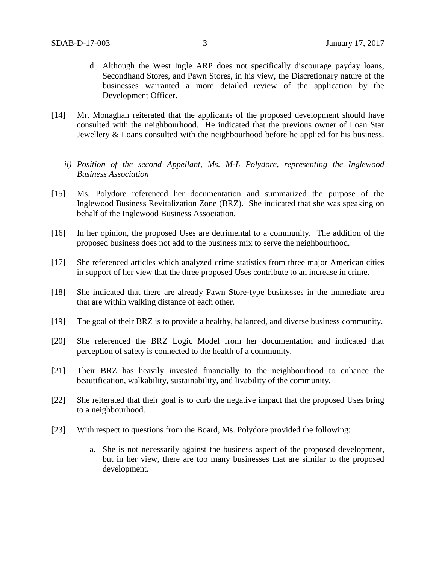- d. Although the West Ingle ARP does not specifically discourage payday loans, Secondhand Stores, and Pawn Stores, in his view, the Discretionary nature of the businesses warranted a more detailed review of the application by the Development Officer.
- [14] Mr. Monaghan reiterated that the applicants of the proposed development should have consulted with the neighbourhood. He indicated that the previous owner of Loan Star Jewellery & Loans consulted with the neighbourhood before he applied for his business.
	- *ii) Position of the second Appellant, Ms. M-L Polydore, representing the Inglewood Business Association*
- [15] Ms. Polydore referenced her documentation and summarized the purpose of the Inglewood Business Revitalization Zone (BRZ). She indicated that she was speaking on behalf of the Inglewood Business Association.
- [16] In her opinion, the proposed Uses are detrimental to a community. The addition of the proposed business does not add to the business mix to serve the neighbourhood.
- [17] She referenced articles which analyzed crime statistics from three major American cities in support of her view that the three proposed Uses contribute to an increase in crime.
- [18] She indicated that there are already Pawn Store-type businesses in the immediate area that are within walking distance of each other.
- [19] The goal of their BRZ is to provide a healthy, balanced, and diverse business community.
- [20] She referenced the BRZ Logic Model from her documentation and indicated that perception of safety is connected to the health of a community.
- [21] Their BRZ has heavily invested financially to the neighbourhood to enhance the beautification, walkability, sustainability, and livability of the community.
- [22] She reiterated that their goal is to curb the negative impact that the proposed Uses bring to a neighbourhood.
- [23] With respect to questions from the Board, Ms. Polydore provided the following:
	- a. She is not necessarily against the business aspect of the proposed development, but in her view, there are too many businesses that are similar to the proposed development.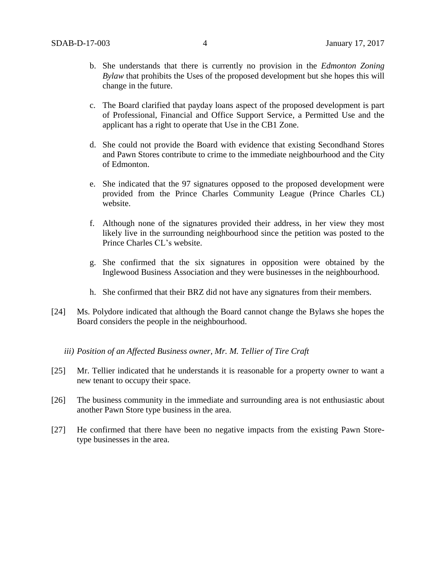- b. She understands that there is currently no provision in the *Edmonton Zoning Bylaw* that prohibits the Uses of the proposed development but she hopes this will change in the future.
- c. The Board clarified that payday loans aspect of the proposed development is part of Professional, Financial and Office Support Service, a Permitted Use and the applicant has a right to operate that Use in the CB1 Zone.
- d. She could not provide the Board with evidence that existing Secondhand Stores and Pawn Stores contribute to crime to the immediate neighbourhood and the City of Edmonton.
- e. She indicated that the 97 signatures opposed to the proposed development were provided from the Prince Charles Community League (Prince Charles CL) website.
- f. Although none of the signatures provided their address, in her view they most likely live in the surrounding neighbourhood since the petition was posted to the Prince Charles CL's website.
- g. She confirmed that the six signatures in opposition were obtained by the Inglewood Business Association and they were businesses in the neighbourhood.
- h. She confirmed that their BRZ did not have any signatures from their members.
- [24] Ms. Polydore indicated that although the Board cannot change the Bylaws she hopes the Board considers the people in the neighbourhood.
	- *iii) Position of an Affected Business owner, Mr. M. Tellier of Tire Craft*
- [25] Mr. Tellier indicated that he understands it is reasonable for a property owner to want a new tenant to occupy their space.
- [26] The business community in the immediate and surrounding area is not enthusiastic about another Pawn Store type business in the area.
- [27] He confirmed that there have been no negative impacts from the existing Pawn Storetype businesses in the area.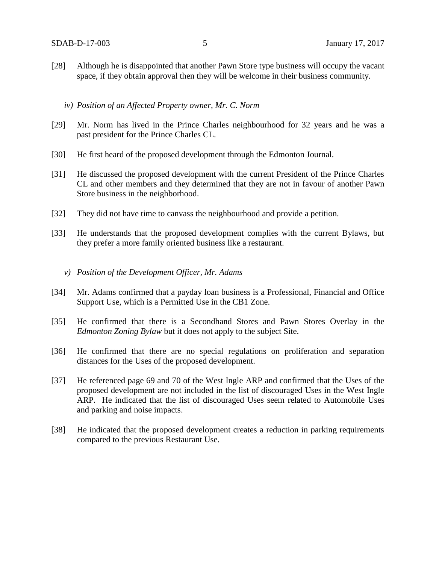- [28] Although he is disappointed that another Pawn Store type business will occupy the vacant space, if they obtain approval then they will be welcome in their business community.
	- *iv) Position of an Affected Property owner, Mr. C. Norm*
- [29] Mr. Norm has lived in the Prince Charles neighbourhood for 32 years and he was a past president for the Prince Charles CL.
- [30] He first heard of the proposed development through the Edmonton Journal.
- [31] He discussed the proposed development with the current President of the Prince Charles CL and other members and they determined that they are not in favour of another Pawn Store business in the neighborhood.
- [32] They did not have time to canvass the neighbourhood and provide a petition.
- [33] He understands that the proposed development complies with the current Bylaws, but they prefer a more family oriented business like a restaurant.
	- *v) Position of the Development Officer, Mr. Adams*
- [34] Mr. Adams confirmed that a payday loan business is a Professional, Financial and Office Support Use, which is a Permitted Use in the CB1 Zone.
- [35] He confirmed that there is a Secondhand Stores and Pawn Stores Overlay in the *Edmonton Zoning Bylaw* but it does not apply to the subject Site.
- [36] He confirmed that there are no special regulations on proliferation and separation distances for the Uses of the proposed development.
- [37] He referenced page 69 and 70 of the West Ingle ARP and confirmed that the Uses of the proposed development are not included in the list of discouraged Uses in the West Ingle ARP. He indicated that the list of discouraged Uses seem related to Automobile Uses and parking and noise impacts.
- [38] He indicated that the proposed development creates a reduction in parking requirements compared to the previous Restaurant Use.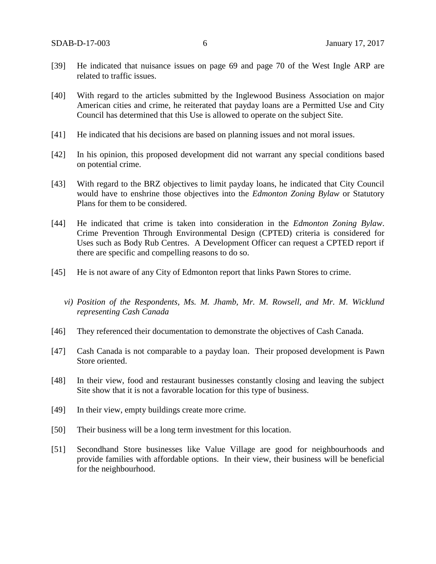- [39] He indicated that nuisance issues on page 69 and page 70 of the West Ingle ARP are related to traffic issues.
- [40] With regard to the articles submitted by the Inglewood Business Association on major American cities and crime, he reiterated that payday loans are a Permitted Use and City Council has determined that this Use is allowed to operate on the subject Site.
- [41] He indicated that his decisions are based on planning issues and not moral issues.
- [42] In his opinion, this proposed development did not warrant any special conditions based on potential crime.
- [43] With regard to the BRZ objectives to limit payday loans, he indicated that City Council would have to enshrine those objectives into the *Edmonton Zoning Bylaw* or Statutory Plans for them to be considered.
- [44] He indicated that crime is taken into consideration in the *Edmonton Zoning Bylaw*. Crime Prevention Through Environmental Design (CPTED) criteria is considered for Uses such as Body Rub Centres. A Development Officer can request a CPTED report if there are specific and compelling reasons to do so.
- [45] He is not aware of any City of Edmonton report that links Pawn Stores to crime.
	- *vi) Position of the Respondents, Ms. M. Jhamb, Mr. M. Rowsell, and Mr. M. Wicklund representing Cash Canada*
- [46] They referenced their documentation to demonstrate the objectives of Cash Canada.
- [47] Cash Canada is not comparable to a payday loan. Their proposed development is Pawn Store oriented.
- [48] In their view, food and restaurant businesses constantly closing and leaving the subject Site show that it is not a favorable location for this type of business.
- [49] In their view, empty buildings create more crime.
- [50] Their business will be a long term investment for this location.
- [51] Secondhand Store businesses like Value Village are good for neighbourhoods and provide families with affordable options. In their view, their business will be beneficial for the neighbourhood.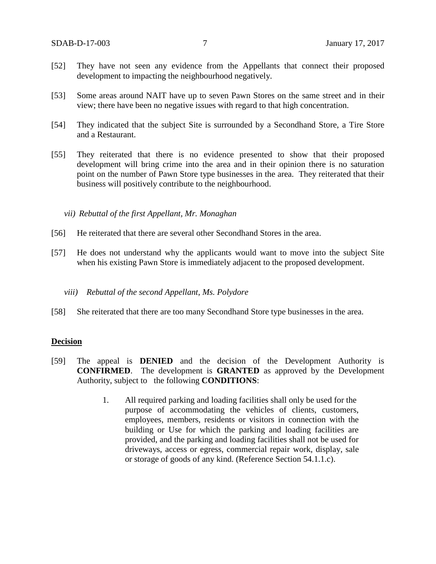- [52] They have not seen any evidence from the Appellants that connect their proposed development to impacting the neighbourhood negatively.
- [53] Some areas around NAIT have up to seven Pawn Stores on the same street and in their view; there have been no negative issues with regard to that high concentration.
- [54] They indicated that the subject Site is surrounded by a Secondhand Store, a Tire Store and a Restaurant.
- [55] They reiterated that there is no evidence presented to show that their proposed development will bring crime into the area and in their opinion there is no saturation point on the number of Pawn Store type businesses in the area. They reiterated that their business will positively contribute to the neighbourhood.

*vii) Rebuttal of the first Appellant, Mr. Monaghan*

- [56] He reiterated that there are several other Secondhand Stores in the area.
- [57] He does not understand why the applicants would want to move into the subject Site when his existing Pawn Store is immediately adjacent to the proposed development.

#### *viii) Rebuttal of the second Appellant, Ms. Polydore*

[58] She reiterated that there are too many Secondhand Store type businesses in the area.

#### **Decision**

- [59] The appeal is **DENIED** and the decision of the Development Authority is **CONFIRMED**. The development is **GRANTED** as approved by the Development Authority, subject to the following **CONDITIONS**:
	- 1. All required parking and loading facilities shall only be used for the purpose of accommodating the vehicles of clients, customers, employees, members, residents or visitors in connection with the building or Use for which the parking and loading facilities are provided, and the parking and loading facilities shall not be used for driveways, access or egress, commercial repair work, display, sale or storage of goods of any kind. (Reference Section 54.1.1.c).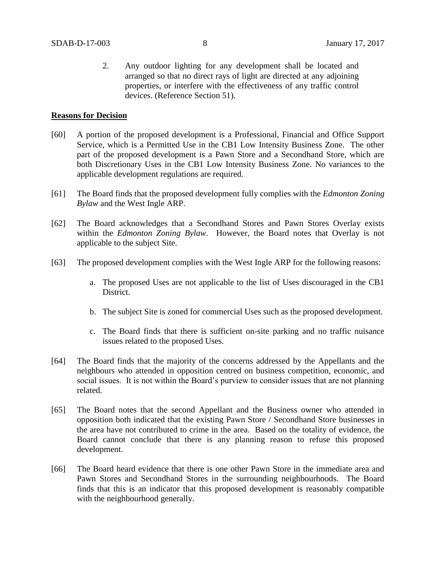2. Any outdoor lighting for any development shall be located and arranged so that no direct rays of light are directed at any adjoining properties, or interfere with the effectiveness of any traffic control devices. (Reference Section 51).

## **Reasons for Decision**

- [60] A portion of the proposed development is a Professional, Financial and Office Support Service, which is a Permitted Use in the CB1 Low Intensity Business Zone. The other part of the proposed development is a Pawn Store and a Secondhand Store, which are both Discretionary Uses in the CB1 Low Intensity Business Zone. No variances to the applicable development regulations are required.
- [61] The Board finds that the proposed development fully complies with the *Edmonton Zoning Bylaw* and the West Ingle ARP.
- [62] The Board acknowledges that a Secondhand Stores and Pawn Stores Overlay exists within the *Edmonton Zoning Bylaw*. However, the Board notes that Overlay is not applicable to the subject Site.
- [63] The proposed development complies with the West Ingle ARP for the following reasons:
	- a. The proposed Uses are not applicable to the list of Uses discouraged in the CB1 District.
	- b. The subject Site is zoned for commercial Uses such as the proposed development.
	- c. The Board finds that there is sufficient on-site parking and no traffic nuisance issues related to the proposed Uses.
- [64] The Board finds that the majority of the concerns addressed by the Appellants and the neighbours who attended in opposition centred on business competition, economic, and social issues. It is not within the Board's purview to consider issues that are not planning related.
- [65] The Board notes that the second Appellant and the Business owner who attended in opposition both indicated that the existing Pawn Store / Secondhand Store businesses in the area have not contributed to crime in the area. Based on the totality of evidence, the Board cannot conclude that there is any planning reason to refuse this proposed development.
- [66] The Board heard evidence that there is one other Pawn Store in the immediate area and Pawn Stores and Secondhand Stores in the surrounding neighbourhoods. The Board finds that this is an indicator that this proposed development is reasonably compatible with the neighbourhood generally.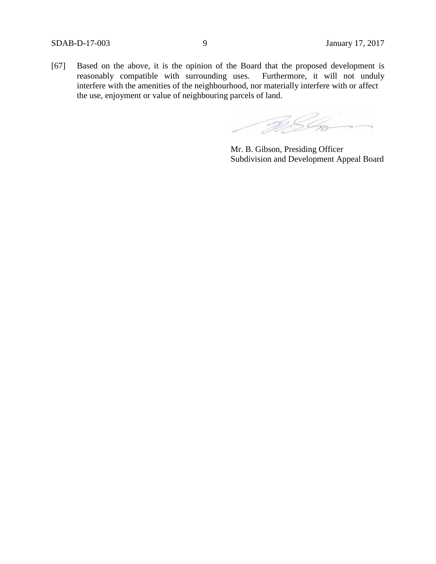[67] Based on the above, it is the opinion of the Board that the proposed development is reasonably compatible with surrounding uses. Furthermore, it will not unduly interfere with the amenities of the neighbourhood, nor materially interfere with or affect the use, enjoyment or value of neighbouring parcels of land.

RSG

Mr. B. Gibson, Presiding Officer Subdivision and Development Appeal Board